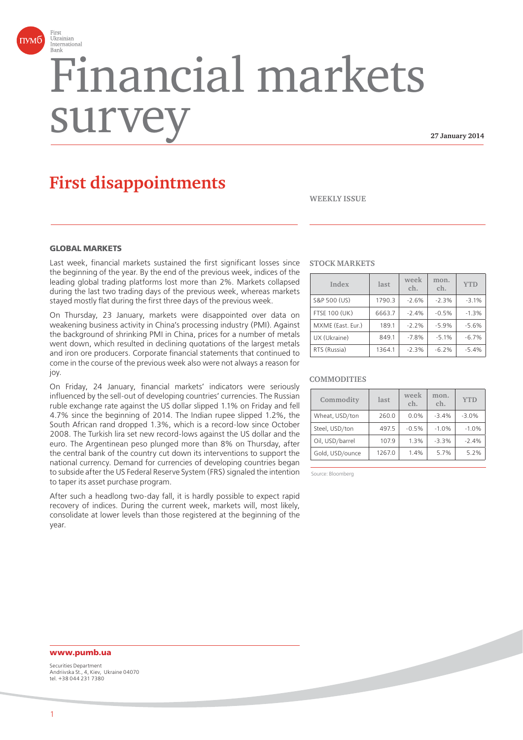

# Financial markets surv

**27 January 2014**

# **First disappointments**

**WEEKLY ISSUE**

# **GLOBAL MARKETS**

Last week, financial markets sustained the first significant losses since the beginning of the year. By the end of the previous week, indices of the leading global trading platforms lost more than 2%. Markets collapsed during the last two trading days of the previous week, whereas markets stayed mostly flat during the first three days of the previous week.

On Thursday, 23 January, markets were disappointed over data on weakening business activity in China's processing industry (PMI). Against the background of shrinking PMI in China, prices for a number of metals went down, which resulted in declining quotations of the largest metals and iron ore producers. Corporate financial statements that continued to come in the course of the previous week also were not always a reason for joy.

On Friday, 24 January, financial markets' indicators were seriously influenced by the sell-out of developing countries' currencies. The Russian ruble exchange rate against the US dollar slipped 1.1% on Friday and fell 4.7% since the beginning of 2014. The Indian rupee slipped 1.2%, the South African rand dropped 1.3%, which is a record-low since October 2008. The Turkish lira set new record-lows against the US dollar and the euro. The Argentinean peso plunged more than 8% on Thursday, after the central bank of the country cut down its interventions to support the national currency. Demand for currencies of developing countries began to subside after the US Federal Reserve System (FRS) signaled the intention to taper its asset purchase program.

After such a headlong two-day fall, it is hardly possible to expect rapid recovery of indices. During the current week, markets will, most likely, consolidate at lower levels than those registered at the beginning of the year.

#### **STOCK MARKETS**

| Index                | last   | week<br>ch. | mon.<br>ch. | <b>YTD</b> |
|----------------------|--------|-------------|-------------|------------|
| S&P 500 (US)         | 1790.3 | $-2.6%$     | $-2.3%$     | $-3.1%$    |
| <b>FTSE 100 (UK)</b> | 6663.7 | $-2.4%$     | $-0.5%$     | $-1.3%$    |
| MXME (East. Eur.)    | 189.1  | $-2.2%$     | $-5.9%$     | $-5.6%$    |
| UX (Ukraine)         | 849.1  | $-7.8%$     | $-5.1%$     | $-6.7%$    |
| RTS (Russia)         | 1364.1 | $-2.3%$     | $-6.2%$     | $-5.4%$    |

#### **COMMODITIES**

| Commodity       | last   | week<br>ch. | mon.<br>ch. | <b>YTD</b> |
|-----------------|--------|-------------|-------------|------------|
| Wheat, USD/ton  | 260.0  | 0.0%        | $-3.4%$     | $-3.0%$    |
| Steel, USD/ton  | 497.5  | $-0.5%$     | $-1.0%$     | $-1.0%$    |
| Oil, USD/barrel | 107.9  | 1.3%        | $-3.3%$     | $-2.4%$    |
| Gold, USD/ounce | 1267.0 | 1.4%        | 5.7%        | 5.2%       |

Source: Bloomberg

# **www.pumb.ua**

Securities Department Andriivska St., 4, Kiev, Ukraine 04070 tel. +38 044 231 7380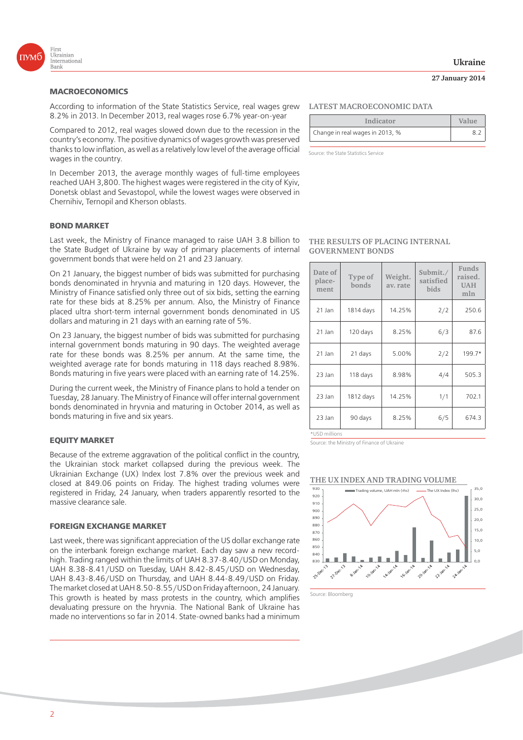

## **MACROECONOMICS**

According to information of the State Statistics Service, real wages grew 8.2% in 2013. In December 2013, real wages rose 6.7% year-on-year

Compared to 2012, real wages slowed down due to the recession in the country's economy. The positive dynamics of wages growth was preserved thanks to low inflation, as well as a relatively low level of the average official wages in the country.

In December 2013, the average monthly wages of full-time employees reached UAH 3,800. The highest wages were registered in the city of Kyiv, Donetsk oblast and Sevastopol, while the lowest wages were observed in Chernihiv, Ternopil and Kherson oblasts.

#### **BOND MARKET**

Last week, the Ministry of Finance managed to raise UAH 3.8 billion to the State Budget of Ukraine by way of primary placements of internal government bonds that were held on 21 and 23 January.

On 21 January, the biggest number of bids was submitted for purchasing bonds denominated in hryvnia and maturing in 120 days. However, the Ministry of Finance satisfied only three out of six bids, setting the earning rate for these bids at 8.25% per annum. Also, the Ministry of Finance placed ultra short-term internal government bonds denominated in US dollars and maturing in 21 days with an earning rate of 5%.

On 23 January, the biggest number of bids was submitted for purchasing internal government bonds maturing in 90 days. The weighted average rate for these bonds was 8.25% per annum. At the same time, the weighted average rate for bonds maturing in 118 days reached 8.98%. Bonds maturing in five years were placed with an earning rate of 14.25%.

During the current week, the Ministry of Finance plans to hold a tender on Tuesday, 28 January. The Ministry of Finance will offer internal government bonds denominated in hryvnia and maturing in October 2014, as well as bonds maturing in five and six years.

# **EQUITY MARKET**

Because of the extreme aggravation of the political conflict in the country, the Ukrainian stock market collapsed during the previous week. The Ukrainian Exchange (UX) Index lost 7.8% over the previous week and closed at 849.06 points on Friday. The highest trading volumes were registered in Friday, 24 January, when traders apparently resorted to the massive clearance sale.

#### **FOREIGN EXCHANGE MARKET**

Last week, there was significant appreciation of the US dollar exchange rate on the interbank foreign exchange market. Each day saw a new recordhigh. Trading ranged within the limits of UAH 8.37-8.40/USD on Monday, UAH 8.38-8.41/USD on Tuesday, UAH 8.42-8.45/USD on Wednesday, UAH 8.43-8.46/USD on Thursday, and UAH 8.44-8.49/USD on Friday. The market closed at UAH 8.50-8.55/USD on Friday afternoon, 24 January. This growth is heated by mass protests in the country, which amplifies devaluating pressure on the hryvnia. The National Bank of Ukraine has made no interventions so far in 2014. State-owned banks had a minimum

### **LATEST MACROECONOMIC DATA**

| Indicator                       | Value |
|---------------------------------|-------|
| Change in real wages in 2013, % |       |

Source: the State Statistics Service

**THE RESULTS OF PLACING INTERNAL GOVERNMENT BONDS** 

| Date of<br>place-<br>ment | Type of<br>bonds | Weight.<br>av. rate | Submit./<br>satisfied<br><b>bids</b> | Funds<br>raised.<br><b>UAH</b><br>mln |
|---------------------------|------------------|---------------------|--------------------------------------|---------------------------------------|
| 21 Jan                    | 1814 days        | 14.25%              | 2/2                                  | 250.6                                 |
| 21 Jan                    | 120 days         | 8.25%               | 6/3                                  | 87.6                                  |
| 21 Jan                    | 21 days          | 5.00%               | 2/2                                  | 199.7*                                |
| 23 Jan                    | 118 days         | 8.98%               | 4/4                                  | 505.3                                 |
| 23 Jan                    | 1812 days        | 14.25%              | 1/1                                  | 702.1                                 |
| 23 Jan                    | 90 days          | 8.25%               | 6/5                                  | 674.3                                 |

\*USD millions

Source: the Ministry of Finance of Ukraine

#### **THE UX INDEX AND TRADING VOLUME**



Source: Bloomberg

# **Ukraine**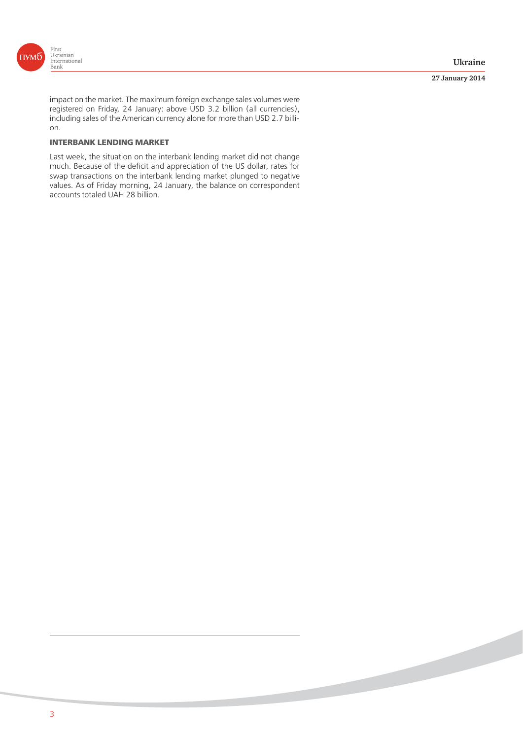

#### **27 January 2014**

impact on the market. The maximum foreign exchange sales volumes were registered on Friday, 24 January: above USD 3.2 billion (all currencies), including sales of the American currency alone for more than USD 2.7 billion.

# **INTERBANK LENDING MARKET**

Last week, the situation on the interbank lending market did not change much. Because of the deficit and appreciation of the US dollar, rates for swap transactions on the interbank lending market plunged to negative values. As of Friday morning, 24 January, the balance on correspondent accounts totaled UAH 28 billion.